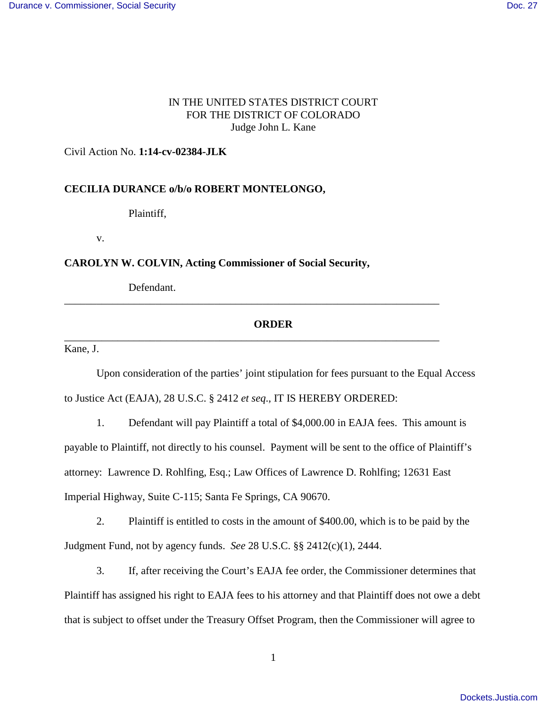## IN THE UNITED STATES DISTRICT COURT FOR THE DISTRICT OF COLORADO Judge John L. Kane

### Civil Action No. **1:14-cv-02384-JLK**

### **CECILIA DURANCE o/b/o ROBERT MONTELONGO,**

Plaintiff,

v.

**CAROLYN W. COLVIN, Acting Commissioner of Social Security,**

Defendant.

# **ORDER**

\_\_\_\_\_\_\_\_\_\_\_\_\_\_\_\_\_\_\_\_\_\_\_\_\_\_\_\_\_\_\_\_\_\_\_\_\_\_\_\_\_\_\_\_\_\_\_\_\_\_\_\_\_\_\_\_\_\_\_\_\_\_\_\_\_\_\_\_\_\_

\_\_\_\_\_\_\_\_\_\_\_\_\_\_\_\_\_\_\_\_\_\_\_\_\_\_\_\_\_\_\_\_\_\_\_\_\_\_\_\_\_\_\_\_\_\_\_\_\_\_\_\_\_\_\_\_\_\_\_\_\_\_\_\_\_\_\_\_\_\_

Kane, J.

 Upon consideration of the parties' joint stipulation for fees pursuant to the Equal Access to Justice Act (EAJA), 28 U.S.C. § 2412 *et seq*., IT IS HEREBY ORDERED:

 1. Defendant will pay Plaintiff a total of \$4,000.00 in EAJA fees. This amount is payable to Plaintiff, not directly to his counsel. Payment will be sent to the office of Plaintiff's attorney: Lawrence D. Rohlfing, Esq.; Law Offices of Lawrence D. Rohlfing; 12631 East Imperial Highway, Suite C-115; Santa Fe Springs, CA 90670.

 2. Plaintiff is entitled to costs in the amount of \$400.00, which is to be paid by the Judgment Fund, not by agency funds. *See* 28 U.S.C. §§ 2412(c)(1), 2444.

 3. If, after receiving the Court's EAJA fee order, the Commissioner determines that Plaintiff has assigned his right to EAJA fees to his attorney and that Plaintiff does not owe a debt that is subject to offset under the Treasury Offset Program, then the Commissioner will agree to

1